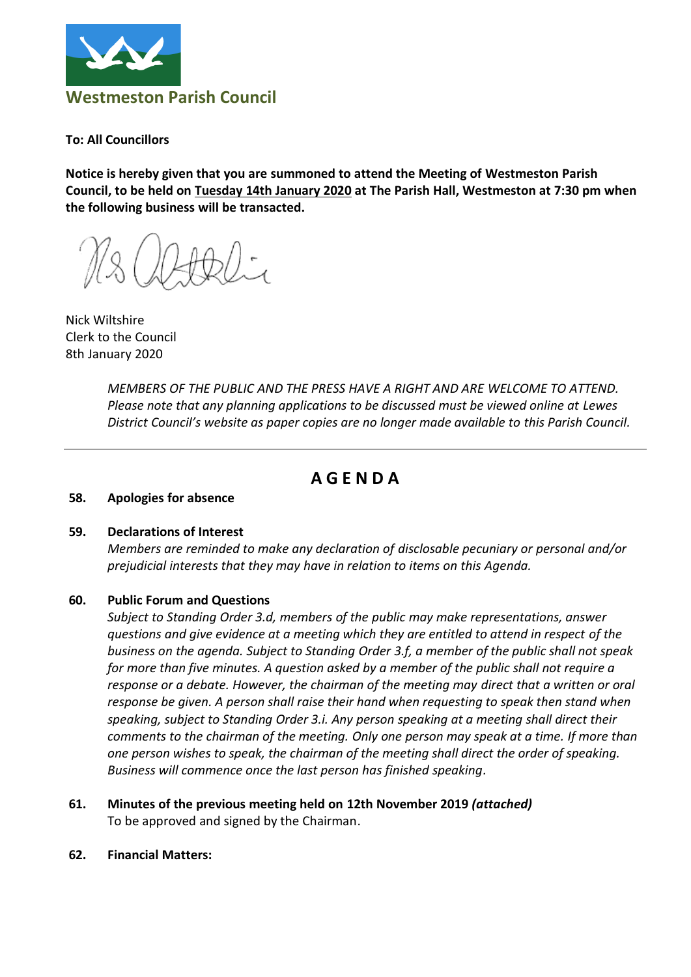

## **To: All Councillors**

**Notice is hereby given that you are summoned to attend the Meeting of Westmeston Parish Council, to be held on Tuesday 14th January 2020 at The Parish Hall, Westmeston at 7:30 pm when the following business will be transacted.**

Nick Wiltshire Clerk to the Council 8th January 2020

*MEMBERS OF THE PUBLIC AND THE PRESS HAVE A RIGHT AND ARE WELCOME TO ATTEND. Please note that any planning applications to be discussed must be viewed online at Lewes District Council's website as paper copies are no longer made available to this Parish Council.*

# **A G E N D A**

## **58. Apologies for absence**

#### **59. Declarations of Interest**

*Members are reminded to make any declaration of disclosable pecuniary or personal and/or prejudicial interests that they may have in relation to items on this Agenda.*

#### **60. Public Forum and Questions**

*Subject to Standing Order 3.d, members of the public may make representations, answer questions and give evidence at a meeting which they are entitled to attend in respect of the business on the agenda. Subject to Standing Order 3.f, a member of the public shall not speak for more than five minutes. A question asked by a member of the public shall not require a response or a debate. However, the chairman of the meeting may direct that a written or oral response be given. A person shall raise their hand when requesting to speak then stand when speaking, subject to Standing Order 3.i. Any person speaking at a meeting shall direct their comments to the chairman of the meeting. Only one person may speak at a time. If more than one person wishes to speak, the chairman of the meeting shall direct the order of speaking. Business will commence once the last person has finished speaking.*

- **61. Minutes of the previous meeting held on 12th November 2019** *(attached)* To be approved and signed by the Chairman.
- **62. Financial Matters:**